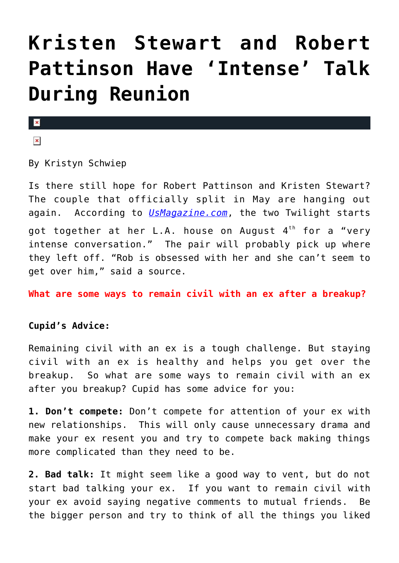## **[Kristen Stewart and Robert](https://cupidspulse.com/56577/kristen-stewart-robert-pattinson-intense-talk-reunion/) [Pattinson Have 'Intense' Talk](https://cupidspulse.com/56577/kristen-stewart-robert-pattinson-intense-talk-reunion/) [During Reunion](https://cupidspulse.com/56577/kristen-stewart-robert-pattinson-intense-talk-reunion/)**

## $\pmb{\times}$

 $\pmb{\times}$ 

By Kristyn Schwiep

Is there still hope for Robert Pattinson and Kristen Stewart? The couple that officially split in May are hanging out again. According to *[UsMagazine.com](http://www.usmagazine.com/celebrity-news/news/kristen-stewart-robert-pattinson-have-intense-conversation-during-reunion-2013198)*, the two Twilight starts got together at her L.A. house on August  $4<sup>th</sup>$  for a "very intense conversation." The pair will probably pick up where they left off. "Rob is obsessed with her and she can't seem to get over him," said a source.

**What are some ways to remain civil with an ex after a breakup?**

## **Cupid's Advice:**

Remaining civil with an ex is a tough challenge. But staying civil with an ex is healthy and helps you get over the breakup. So what are some ways to remain civil with an ex after you breakup? Cupid has some advice for you:

**1. Don't compete:** Don't compete for attention of your ex with new relationships. This will only cause unnecessary drama and make your ex resent you and try to compete back making things more complicated than they need to be.

**2. Bad talk:** It might seem like a good way to vent, but do not start bad talking your ex. If you want to remain civil with your ex avoid saying negative comments to mutual friends. Be the bigger person and try to think of all the things you liked